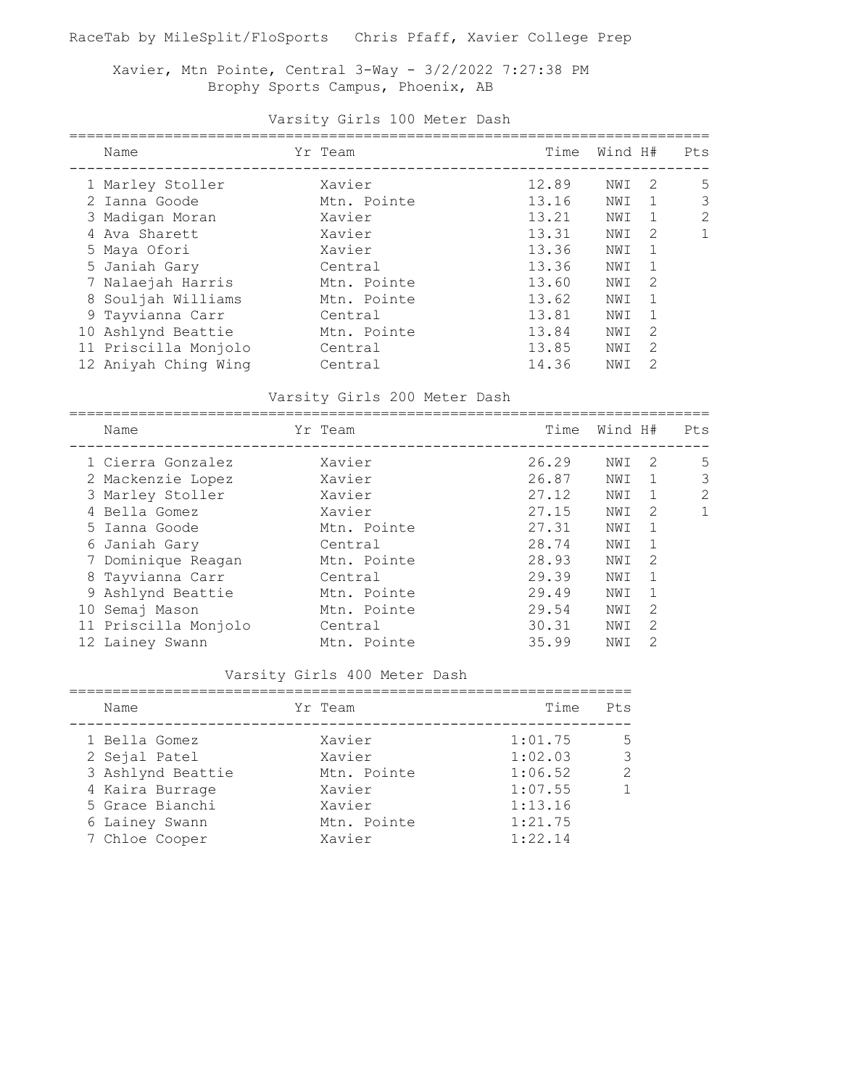Xavier, Mtn Pointe, Central 3-Way - 3/2/2022 7:27:38 PM Brophy Sports Campus, Phoenix, AB

| Name                 | Yr Team     | Time  | Wind H#                                                                                                                                                                | Pts            |
|----------------------|-------------|-------|------------------------------------------------------------------------------------------------------------------------------------------------------------------------|----------------|
| 1 Marley Stoller     | Xavier      | 12.89 | $\overline{2}$<br>NWI                                                                                                                                                  | 5              |
| 2 Ianna Goode        | Mtn. Pointe | 13.16 | NWI<br>$\overline{1}$                                                                                                                                                  | 3              |
| 3 Madigan Moran      | Xavier      | 13.21 | NWI<br>$\mathbf{1}$                                                                                                                                                    | $\overline{2}$ |
| 4 Ava Sharett        | Xavier      | 13.31 | 2<br>NWI                                                                                                                                                               | 1              |
| 5 Maya Ofori         | Xavier      | 13.36 | NWI<br>-1                                                                                                                                                              |                |
| 5 Janiah Gary        | Central     | 13.36 | -1<br>NWI                                                                                                                                                              |                |
| 7 Nalaejah Harris    | Mtn. Pointe | 13.60 | -2<br>NWI                                                                                                                                                              |                |
| 8 Souljah Williams   | Mtn. Pointe | 13.62 | $\overline{1}$<br>NWI                                                                                                                                                  |                |
| 9 Tayvianna Carr     | Central     | 13.81 | NWI<br>1                                                                                                                                                               |                |
| 10 Ashlynd Beattie   | Mtn. Pointe | 13.84 | 2<br>NWI                                                                                                                                                               |                |
| 11 Priscilla Monjolo | Central     | 13.85 | 2<br>NWI                                                                                                                                                               |                |
| 12 Aniyah Ching Wing | Central     | 14.36 | $\mathcal{D}_{\mathcal{L}}^{\mathcal{L}}(\mathcal{L})=\mathcal{D}_{\mathcal{L}}^{\mathcal{L}}(\mathcal{L})\mathcal{D}_{\mathcal{L}}^{\mathcal{L}}(\mathcal{L})$<br>NWI |                |

#### Varsity Girls 100 Meter Dash

Varsity Girls 200 Meter Dash

| Name                 | Yr Team     | Time  | Wind H# |                | Pts          |
|----------------------|-------------|-------|---------|----------------|--------------|
| 1 Cierra Gonzalez    | Xavier      | 26.29 | NWI     | $\mathcal{L}$  | 5            |
| 2 Mackenzie Lopez    | Xavier      | 26.87 | NWI     | 1              | 3            |
| 3 Marley Stoller     | Xavier      | 27.12 | NWI     | $\mathbf{1}$   | 2            |
| Bella Gomez          | Xavier      | 27.15 | NWI     | $\mathcal{L}$  | $\mathbf{1}$ |
| 5 Ianna Goode        | Mtn. Pointe | 27.31 | NWI     | $\overline{1}$ |              |
| 6 Janiah Gary        | Central     | 28.74 | NWI     | $\overline{1}$ |              |
| 7 Dominique Reagan   | Mtn. Pointe | 28.93 | NWI     | 2              |              |
| 8 Tayvianna Carr     | Central     | 29.39 | NWI     | $\overline{1}$ |              |
| 9 Ashlynd Beattie    | Mtn. Pointe | 29.49 | NWI     | -1             |              |
| 10 Semaj Mason       | Mtn. Pointe | 29.54 | NWI     | $\mathcal{L}$  |              |
| 11 Priscilla Monjolo | Central     | 30.31 | NWI     | 2              |              |
| 12 Lainey Swann      | Mtn. Pointe | 35.99 | NWI     | 2              |              |

# Varsity Girls 400 Meter Dash

| Name              | Yr Team     | Time    | Pts           |
|-------------------|-------------|---------|---------------|
| 1 Bella Gomez     | Xavier      | 1:01.75 | -5            |
| 2 Sejal Patel     | Xavier      | 1:02.03 | 3             |
| 3 Ashlynd Beattie | Mtn. Pointe | 1:06.52 | $\mathcal{L}$ |
| 4 Kaira Burrage   | Xavier      | 1:07.55 | 1             |
| 5 Grace Bianchi   | Xavier      | 1:13.16 |               |
| 6 Lainey Swann    | Mtn. Pointe | 1:21.75 |               |
| 7 Chloe Cooper    | Xavier      | 1:22.14 |               |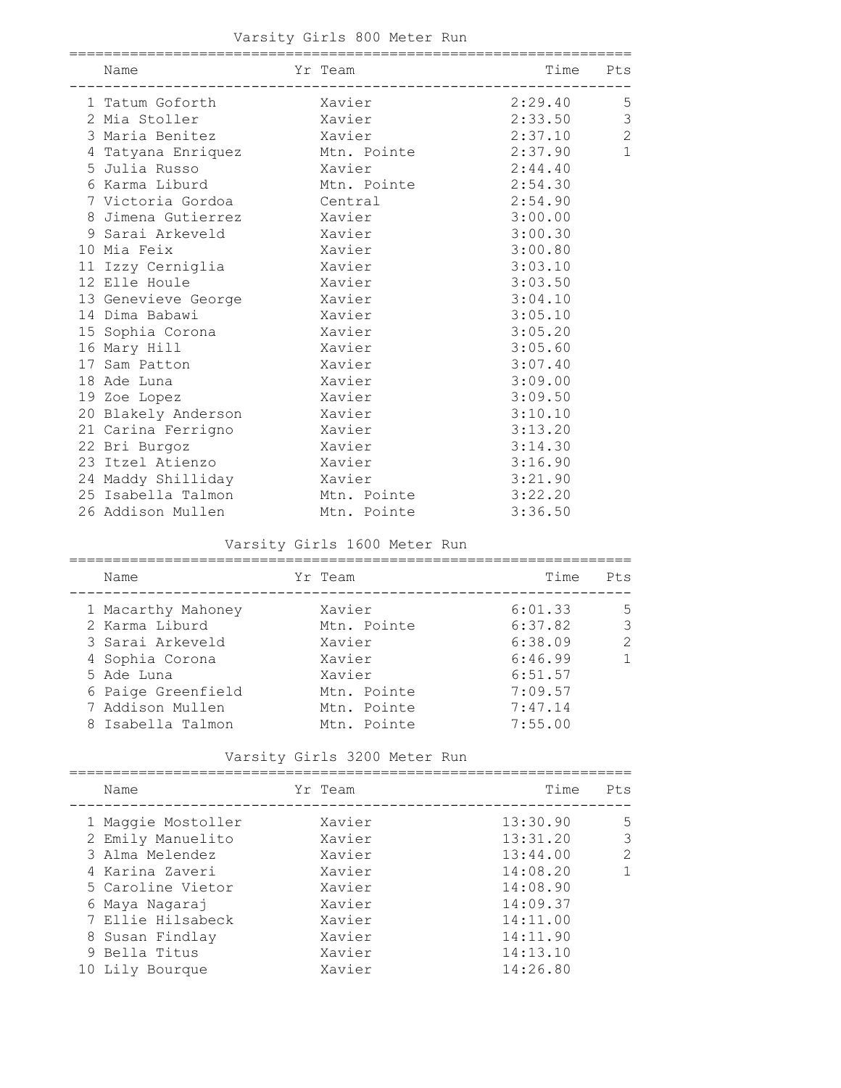| Varsity Girls 800 Meter Run |  |  |  |  |  |
|-----------------------------|--|--|--|--|--|
|-----------------------------|--|--|--|--|--|

| Name                                    |        | Time Pts |                |
|-----------------------------------------|--------|----------|----------------|
| 1 Tatum Goforth Mavier                  |        | 2:29.40  | 5              |
| 2 Mia Stoller Xavier                    |        | 2:33.50  | $\mathcal{S}$  |
| 3 Maria Benitez Xavier                  |        | 2:37.10  | $\overline{c}$ |
| 4 Tatyana Enriquez Mtn. Pointe 2:37.90  |        |          | $\mathbf{1}$   |
|                                         |        | 2:44.40  |                |
| 6 Karma Liburd Mtn. Pointe 2:54.30      |        |          |                |
| 7 Victoria Gordoa               Central |        | 2:54.90  |                |
| 8 Jimena Gutierrez Xavier               |        | 3:00.00  |                |
| 9 Sarai Arkeveld Xavier                 |        | 3:00.30  |                |
| 10 Mia Feix                             | Xavier | 3:00.80  |                |
| 11 Izzy Cerniglia Xavier                |        | 3:03.10  |                |
| 12 Elle Houle                           | Xavier | 3:03.50  |                |
| 13 Genevieve George Xavier              |        | 3:04.10  |                |
| 14 Dima Babawi                          | Xavier | 3:05.10  |                |
| 15 Sophia Corona Mavier                 |        | 3:05.20  |                |
| 16 Mary Hill                            | Xavier | 3:05.60  |                |
| 17 Sam Patton                           | Xavier | 3:07.40  |                |
| 18 Ade Luna                             | Xavier | 3:09.00  |                |
| 19 Zoe Lopez                            | Xavier | 3:09.50  |                |
| 20 Blakely Anderson Xavier              |        | 3:10.10  |                |
| 21 Carina Ferrigno Xavier               |        | 3:13.20  |                |
| 22 Bri Burgoz Xavier                    |        | 3:14.30  |                |
| 23 Itzel Atienzo Xavier                 |        | 3:16.90  |                |
| 24 Maddy Shilliday Xavier               |        | 3:21.90  |                |
| 25 Isabella Talmon Mtn. Pointe 3:22.20  |        |          |                |
| 26 Addison Mullen Mtn. Pointe           |        | 3:36.50  |                |

#### Varsity Girls 1600 Meter Run

| Name               | Yr Team     | Time    | Pts           |
|--------------------|-------------|---------|---------------|
| 1 Macarthy Mahoney | Xavier      | 6:01.33 | 5             |
| 2 Karma Liburd     | Mtn. Pointe | 6:37.82 | 3             |
| 3 Sarai Arkeveld   | Xavier      | 6:38.09 | $\mathcal{L}$ |
| 4 Sophia Corona    | Xavier      | 6:46.99 |               |
| 5 Ade Luna         | Xavier      | 6:51.57 |               |
| 6 Paige Greenfield | Mtn. Pointe | 7:09.57 |               |
| 7 Addison Mullen   | Mtn. Pointe | 7:47.14 |               |
| 8 Isabella Talmon  | Mtn. Pointe | 7:55.00 |               |
|                    |             |         |               |

## Varsity Girls 3200 Meter Run

| Name               | Yr Team | Time     | Pts |
|--------------------|---------|----------|-----|
| 1 Maggie Mostoller | Xavier  | 13:30.90 | 5   |
| 2 Emily Manuelito  | Xavier  | 13:31.20 | 3   |
| 3 Alma Melendez    | Xavier  | 13:44.00 | 2   |
| 4 Karina Zaveri    | Xavier  | 14:08.20 |     |
| 5 Caroline Vietor  | Xavier  | 14:08.90 |     |
| 6 Maya Nagaraj     | Xavier  | 14:09.37 |     |
| 7 Ellie Hilsabeck  | Xavier  | 14:11.00 |     |
| 8 Susan Findlay    | Xavier  | 14:11.90 |     |
| 9 Bella Titus      | Xavier  | 14:13.10 |     |
| 10 Lily Bourque    | Xavier  | 14:26.80 |     |
|                    |         |          |     |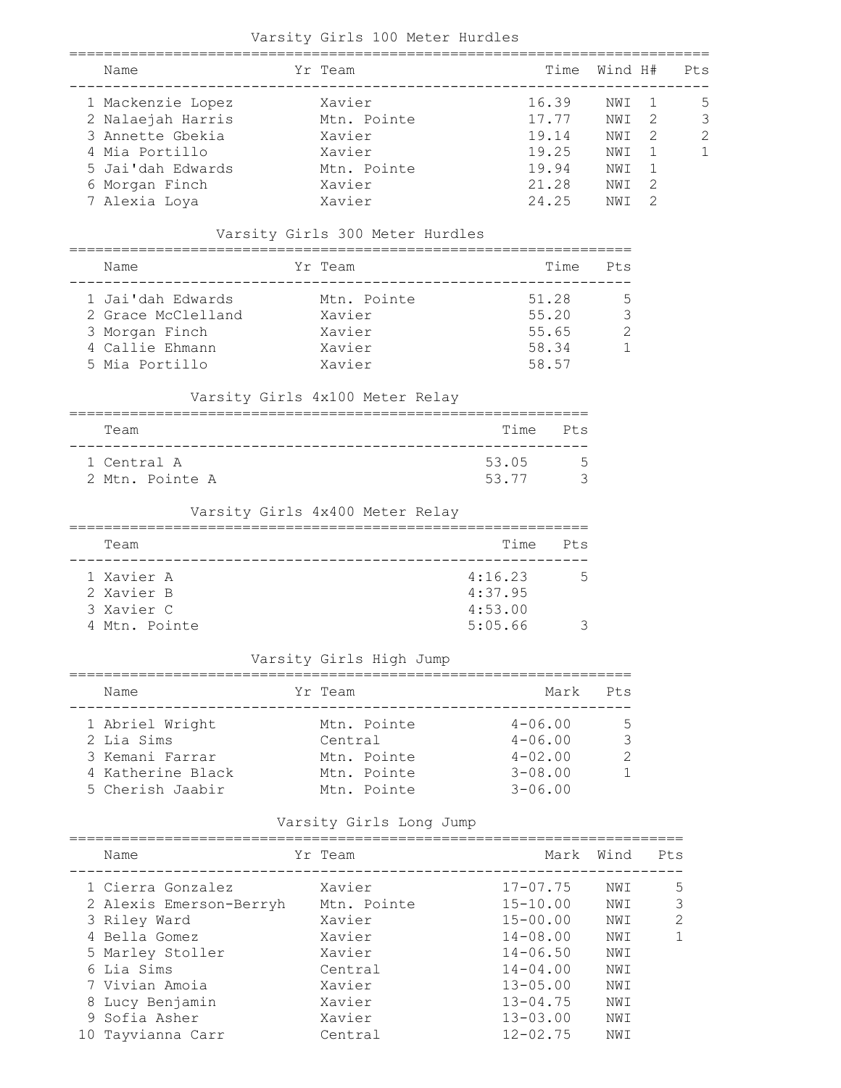|  |  |  |  | Varsity Girls 100 Meter Hurdles |  |
|--|--|--|--|---------------------------------|--|
|--|--|--|--|---------------------------------|--|

| Name              | Yr Team     | Time  | Wind H#    | Pts           |
|-------------------|-------------|-------|------------|---------------|
| 1 Mackenzie Lopez | Xavier      | 16.39 | NWI        | 5             |
| 2 Nalaejah Harris | Mtn. Pointe | 17.77 | NWI 2      | 3             |
| 3 Annette Gbekia  | Xavier      | 19.14 | - 2<br>NWI | $\mathcal{L}$ |
| 4 Mia Portillo    | Xavier      | 19.25 | NWI        |               |
| 5 Jai'dah Edwards | Mtn. Pointe | 19.94 | NWI        |               |
| 6 Morgan Finch    | Xavier      | 21.28 | - 2<br>NWI |               |
| 7 Alexia Loya     | Xavier      | 24.25 | - 2<br>NWI |               |

#### Varsity Girls 300 Meter Hurdles

| Name               | Yr Team |             | Time  | Pt.s          |
|--------------------|---------|-------------|-------|---------------|
| 1 Jai'dah Edwards  |         | Mtn. Pointe | 51.28 | .5            |
| 2 Grace McClelland | Xavier  |             | 55.20 | 3             |
| 3 Morgan Finch     | Xavier  |             | 55.65 | $\mathcal{P}$ |
| 4 Callie Ehmann    | Xavier  |             | 58.34 | 1             |
| 5 Mia Portillo     | Xavier  |             | 58.57 |               |

## Varsity Girls 4x100 Meter Relay

| Team                           | Time Pts       |    |
|--------------------------------|----------------|----|
| 1 Central A<br>2 Mtn. Pointe A | 53.05<br>53.77 | 5. |

## Varsity Girls 4x400 Meter Relay

| Team                     | Time               | Pt.s |
|--------------------------|--------------------|------|
| 1 Xavier A               | 4:16.23            | .5   |
| 2 Xavier B<br>3 Xavier C | 4:37.95<br>4:53.00 |      |
| 4 Mtn. Pointe            | 5:05.66            |      |

## Varsity Girls High Jump

| Name              | Yr Team     | Mark        | Pts |
|-------------------|-------------|-------------|-----|
|                   |             |             |     |
| 1 Abriel Wright   | Mtn. Pointe | $4 - 06.00$ | 5   |
| 2 Lia Sims        | Central     | $4 - 06.00$ |     |
| 3 Kemani Farrar   | Mtn. Pointe | $4 - 02.00$ |     |
| 4 Katherine Black | Mtn. Pointe | $3 - 08.00$ |     |
| 5 Cherish Jaabir  | Mtn. Pointe | $3 - 06.00$ |     |

#### Varsity Girls Long Jump

| Name                    | Yr Team     |              | Mark Wind | Pts |
|-------------------------|-------------|--------------|-----------|-----|
| 1 Cierra Gonzalez       | Xavier      | $17 - 07.75$ | NWI       | 5   |
| 2 Alexis Emerson-Berryh | Mtn. Pointe | $15 - 10.00$ | NWI       | 3   |
| 3 Riley Ward            | Xavier      | $15 - 00.00$ | NWI       | 2   |
| 4 Bella Gomez           | Xavier      | $14 - 08.00$ | NWI       |     |
| 5 Marley Stoller        | Xavier      | $14 - 06.50$ | NWI       |     |
| 6 Lia Sims              | Central     | $14 - 04.00$ | NWI       |     |
| 7 Vivian Amoia          | Xavier      | $13 - 05.00$ | NWI       |     |
| 8 Lucy Benjamin         | Xavier      | $13 - 04.75$ | NWI       |     |
| 9 Sofia Asher           | Xavier      | $13 - 03.00$ | NWI       |     |
| 10 Tayvianna Carr       | Central     | $12 - 02.75$ | NWI       |     |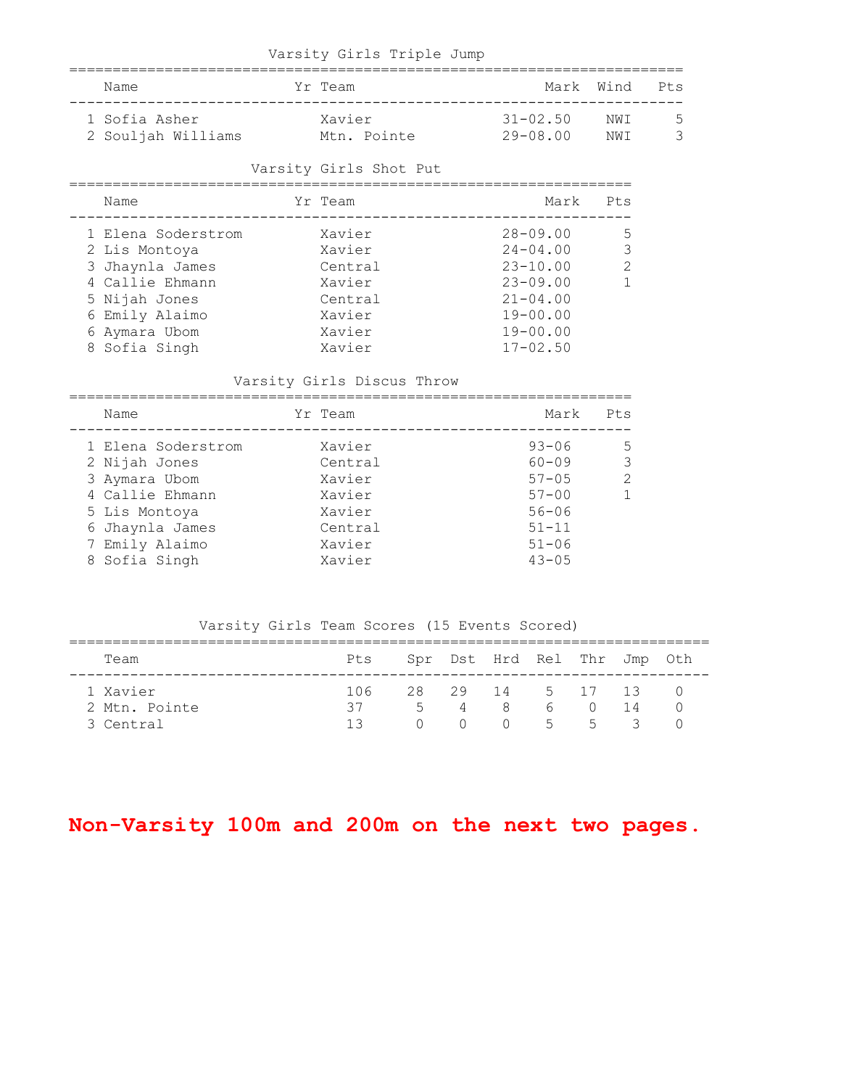| Varsity Girls Triple Jump |  |  |
|---------------------------|--|--|
|                           |  |  |

| Name               | Yr Team     |              | Mark Wind | Pts           |
|--------------------|-------------|--------------|-----------|---------------|
| 1 Sofia Asher      | Xavier      | $31 - 02.50$ | NW T      | -5            |
| 2 Souljah Williams | Mtn. Pointe | 29-08 00     | NW T      | $\mathcal{R}$ |

#### Varsity Girls Shot Put

| Name               | Yr Team | Mark         | Pts                     |
|--------------------|---------|--------------|-------------------------|
| 1 Elena Soderstrom | Xavier  | $28 - 09.00$ | -5                      |
| 2 Lis Montoya      | Xavier  | $24 - 04.00$ | 3                       |
| 3 Jhaynla James    | Central | $23 - 10.00$ | $\mathcal{D}_{1}^{(1)}$ |
| 4 Callie Ehmann    | Xavier  | $23 - 09.00$ | 1                       |
| 5 Nijah Jones      | Central | $21 - 04.00$ |                         |
| 6 Emily Alaimo     | Xavier  | $19 - 00.00$ |                         |
| 6 Aymara Ubom      | Xavier  | $19 - 00.00$ |                         |
| 8 Sofia Singh      | Xavier  | $17 - 02.50$ |                         |
|                    |         |              |                         |

## Varsity Girls Discus Throw

| Name               | Yr Team | Mark      | Pts           |
|--------------------|---------|-----------|---------------|
| 1 Elena Soderstrom | Xavier  | $93 - 06$ | 5             |
| 2 Nijah Jones      | Central | $60 - 09$ | 3             |
| 3 Aymara Ubom      | Xavier  | $57 - 05$ | $\mathcal{P}$ |
| 4 Callie Ehmann    | Xavier  | $57 - 00$ |               |
| 5 Lis Montoya      | Xavier  | $56 - 06$ |               |
| 6 Jhaynla James    | Central | $51 - 11$ |               |
| 7 Emily Alaimo     | Xavier  | $51 - 06$ |               |
| 8 Sofia Singh      | Xavier  | $43 - 05$ |               |

#### Varsity Girls Team Scores (15 Events Scored)

| Team          | Pts |                |           |                  |                     | Spr Dst Hrd Rel Thr Jmp Oth |  |
|---------------|-----|----------------|-----------|------------------|---------------------|-----------------------------|--|
|               |     |                |           |                  |                     |                             |  |
| 1 Xavier      | 106 |                |           | 28 29 14 5 17 13 |                     |                             |  |
| 2 Mtn. Pointe | 37  | 5 <sup>7</sup> | 4         | 8                | 60                  | -14                         |  |
| 3 Central     | ਾਵ  | $\cap$         | $\bigcup$ |                  | $0 \quad 5 \quad 5$ | ₹.                          |  |

## **Non-Varsity 100m and 200m on the next two pages.**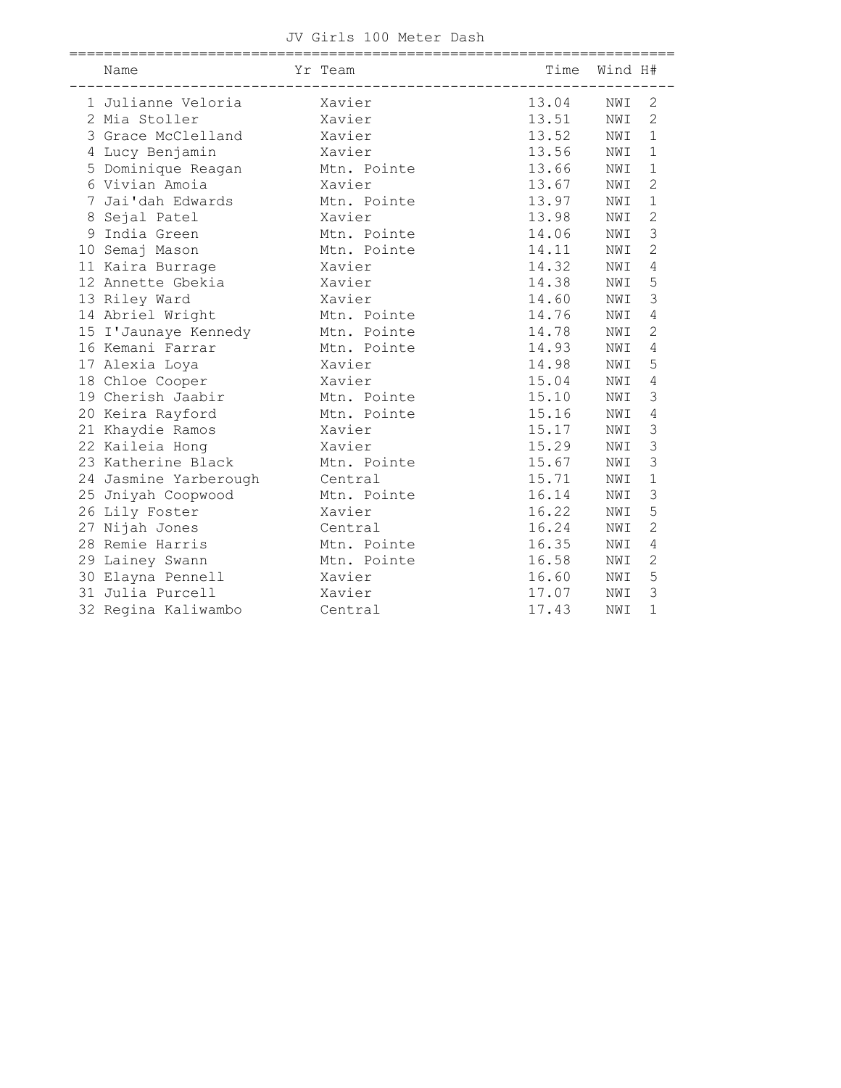| JV Girls 100 Meter Dash |  |
|-------------------------|--|
|-------------------------|--|

|   | Name                  | Yr Team     |       | Time Wind H# |                |
|---|-----------------------|-------------|-------|--------------|----------------|
|   | 1 Julianne Veloria    | Xavier      | 13.04 | NWI          | 2              |
|   | 2 Mia Stoller         | Xavier      | 13.51 | NWI          | 2              |
|   | 3 Grace McClelland    | Xavier      | 13.52 | NWI          | $\mathbf{1}$   |
|   | 4 Lucy Benjamin       | Xavier      | 13.56 | NWI          | $\mathbf{1}$   |
|   | 5 Dominique Reagan    | Mtn. Pointe | 13.66 | NWI          | $\mathbf{1}$   |
|   | 6 Vivian Amoia        | Xavier      | 13.67 | NWI          | $\overline{2}$ |
|   | Jai'dah Edwards       | Mtn. Pointe | 13.97 | NWI          | $\mathbf 1$    |
| 8 | Sejal Patel           | Xavier      | 13.98 | NWI          | $\overline{c}$ |
| 9 | India Green           | Mtn. Pointe | 14.06 | NWI          | $\mathcal{S}$  |
|   | 10 Semaj Mason        | Mtn. Pointe | 14.11 | NWI          | $\mathbf{2}$   |
|   | 11 Kaira Burrage      | Xavier      | 14.32 | NWI          | 4              |
|   | 12 Annette Gbekia     | Xavier      | 14.38 | NWI          | 5              |
|   | 13 Riley Ward         | Xavier      | 14.60 | NWI          | 3              |
|   | 14 Abriel Wright      | Mtn. Pointe | 14.76 | NWI          | 4              |
|   | 15 I'Jaunaye Kennedy  | Mtn. Pointe | 14.78 | NWI          | $\mathbf{2}$   |
|   | 16 Kemani Farrar      | Mtn. Pointe | 14.93 | NWI          | 4              |
|   | 17 Alexia Loya        | Xavier      | 14.98 | NWI          | 5              |
|   | 18 Chloe Cooper       | Xavier      | 15.04 | NWI          | $\overline{4}$ |
|   | 19 Cherish Jaabir     | Mtn. Pointe | 15.10 | NWI          | $\mathcal{S}$  |
|   | 20 Keira Rayford      | Mtn. Pointe | 15.16 | NWI          | $\overline{4}$ |
|   | 21 Khaydie Ramos      | Xavier      | 15.17 | NWI          | 3              |
|   | 22 Kaileia Hong       | Xavier      | 15.29 | NWI          | 3              |
|   | 23 Katherine Black    | Mtn. Pointe | 15.67 | NWI          | 3              |
|   | 24 Jasmine Yarberough | Central     | 15.71 | NWI          | $\mathbf{1}$   |
|   | 25 Jniyah Coopwood    | Mtn. Pointe | 16.14 | NWI          | 3              |
|   | 26 Lily Foster        | Xavier      | 16.22 | NWI          | 5              |
|   | 27 Nijah Jones        | Central     | 16.24 | NWI          | $\mathbf{2}$   |
|   | 28 Remie Harris       | Mtn. Pointe | 16.35 | NWI          | 4              |
|   | 29 Lainey Swann       | Mtn. Pointe | 16.58 | NWI          | 2              |
|   | 30 Elayna Pennell     | Xavier      | 16.60 | NWI          | 5              |
|   | 31 Julia Purcell      | Xavier      | 17.07 | NWI          | 3              |
|   | 32 Regina Kaliwambo   | Central     | 17.43 | NWI          | $\mathbf{1}$   |